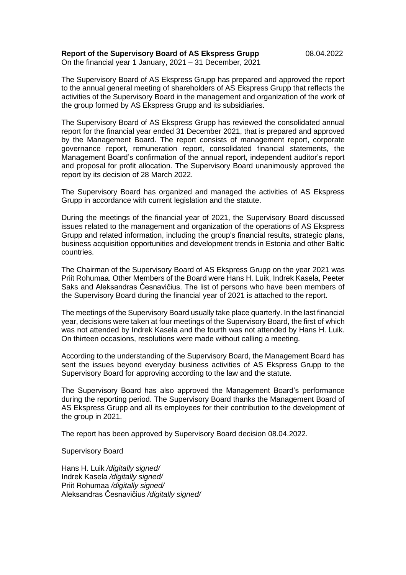**Report of the Supervisory Board of AS Ekspress Grupp** 08.04.2022 On the financial year 1 January, 2021 – 31 December, 2021

The Supervisory Board of AS Ekspress Grupp has prepared and approved the report to the annual general meeting of shareholders of AS Ekspress Grupp that reflects the activities of the Supervisory Board in the management and organization of the work of the group formed by AS Ekspress Grupp and its subsidiaries.

The Supervisory Board of AS Ekspress Grupp has reviewed the consolidated annual report for the financial year ended 31 December 2021, that is prepared and approved by the Management Board. The report consists of management report, corporate governance report, remuneration report, consolidated financial statements, the Management Board's confirmation of the annual report, independent auditor's report and proposal for profit allocation. The Supervisory Board unanimously approved the report by its decision of 28 March 2022.

The Supervisory Board has organized and managed the activities of AS Ekspress Grupp in accordance with current legislation and the statute.

During the meetings of the financial year of 2021, the Supervisory Board discussed issues related to the management and organization of the operations of AS Ekspress Grupp and related information, including the group's financial results, strategic plans, business acquisition opportunities and development trends in Estonia and other Baltic countries.

The Chairman of the Supervisory Board of AS Ekspress Grupp on the year 2021 was Priit Rohumaa. Other Members of the Board were Hans H. Luik, Indrek Kasela, Peeter Saks and Aleksandras Česnavičius. The list of persons who have been members of the Supervisory Board during the financial year of 2021 is attached to the report.

The meetings of the Supervisory Board usually take place quarterly. In the last financial year, decisions were taken at four meetings of the Supervisory Board, the first of which was not attended by Indrek Kasela and the fourth was not attended by Hans H. Luik. On thirteen occasions, resolutions were made without calling a meeting.

According to the understanding of the Supervisory Board, the Management Board has sent the issues beyond everyday business activities of AS Ekspress Grupp to the Supervisory Board for approving according to the law and the statute.

The Supervisory Board has also approved the Management Board's performance during the reporting period. The Supervisory Board thanks the Management Board of AS Ekspress Grupp and all its employees for their contribution to the development of the group in 2021.

The report has been approved by Supervisory Board decision 08.04.2022.

Supervisory Board

Hans H. Luik */digitally signed/* Indrek Kasela */digitally signed/* Priit Rohumaa */digitally signed/* Aleksandras Česnavičius */digitally signed/*